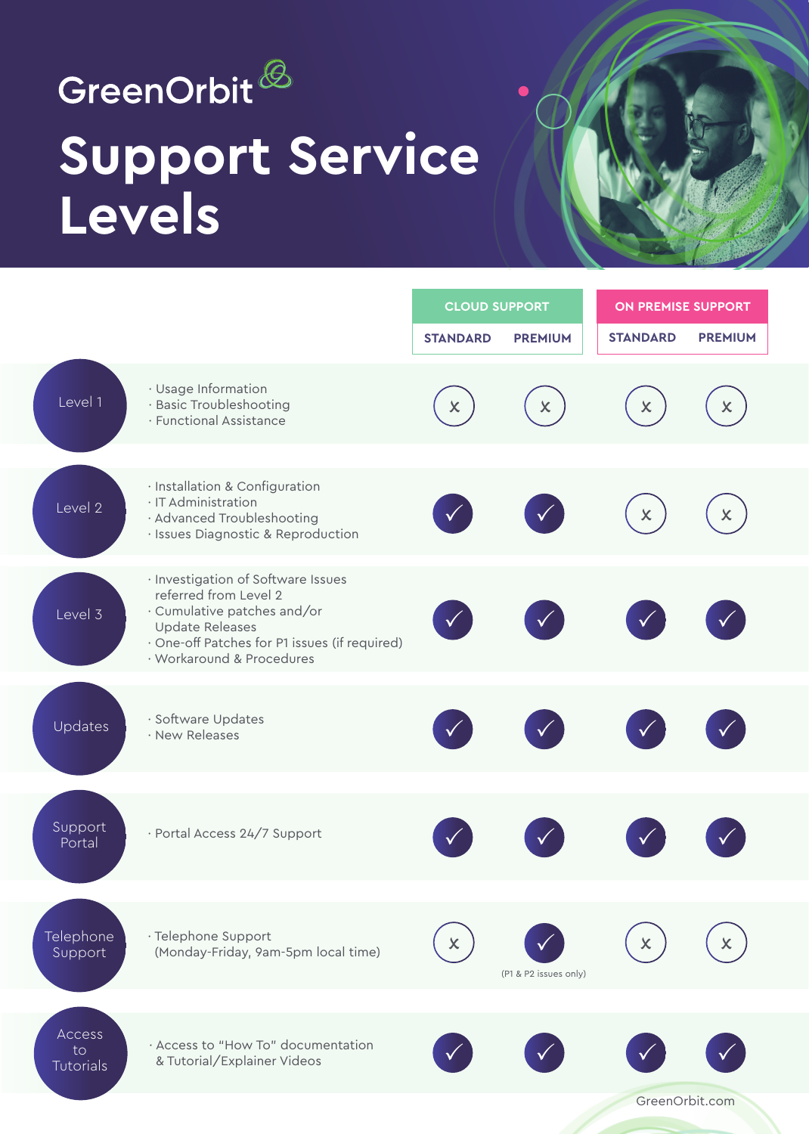

# **Support Service Levels**



GreenOrbit.com

|                             |                                                                                                                                                                                             | <b>CLOUD SUPPORT</b> |                       | <b>ON PREMISE SUPPORT</b> |                           |
|-----------------------------|---------------------------------------------------------------------------------------------------------------------------------------------------------------------------------------------|----------------------|-----------------------|---------------------------|---------------------------|
|                             |                                                                                                                                                                                             | <b>STANDARD</b>      | <b>PREMIUM</b>        | <b>STANDARD</b>           | <b>PREMIUM</b>            |
| Level 1                     | · Usage Information<br>· Basic Troubleshooting<br>· Functional Assistance                                                                                                                   | $\mathsf{x}$         | $\mathsf{x}$          | $\pmb{\times}$            | $\boldsymbol{\mathsf{x}}$ |
| Level 2                     | · Installation & Configuration<br>· IT Administration<br>· Advanced Troubleshooting<br>· Issues Diagnostic & Reproduction                                                                   |                      |                       | $\pmb{\times}$            | X                         |
| Level 3                     | · Investigation of Software Issues<br>referred from Level 2<br>· Cumulative patches and/or<br>Update Releases<br>· One-off Patches for P1 issues (if required)<br>· Workaround & Procedures |                      |                       |                           |                           |
| Updates                     | · Software Updates<br>· New Releases                                                                                                                                                        |                      |                       |                           |                           |
| Support<br>Portal           | · Portal Access 24/7 Support                                                                                                                                                                |                      |                       |                           |                           |
| <b>Telephone</b><br>Support | · Telephone Support<br>(Monday-Friday, 9am-5pm local time)                                                                                                                                  |                      | (P1 & P2 issues only) | X                         |                           |
|                             |                                                                                                                                                                                             |                      |                       |                           |                           |
| Access<br>to<br>Tutorials   | · Access to "How To" documentation<br>& Tutorial/Explainer Videos                                                                                                                           |                      |                       |                           |                           |